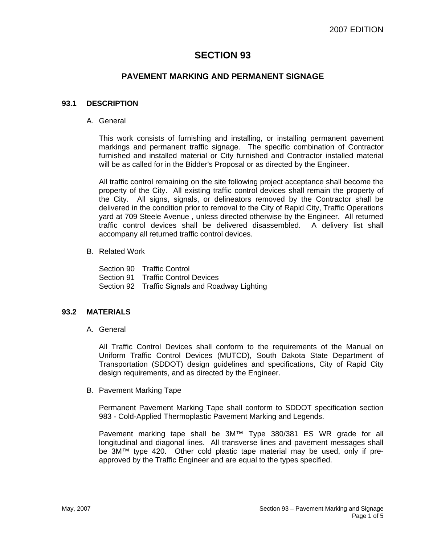# **SECTION 93**

## **PAVEMENT MARKING AND PERMANENT SIGNAGE**

### **93.1 DESCRIPTION**

A. General

This work consists of furnishing and installing, or installing permanent pavement markings and permanent traffic signage. The specific combination of Contractor furnished and installed material or City furnished and Contractor installed material will be as called for in the Bidder's Proposal or as directed by the Engineer.

All traffic control remaining on the site following project acceptance shall become the property of the City. All existing traffic control devices shall remain the property of the City. All signs, signals, or delineators removed by the Contractor shall be delivered in the condition prior to removal to the City of Rapid City, Traffic Operations yard at 709 Steele Avenue , unless directed otherwise by the Engineer. All returned traffic control devices shall be delivered disassembled. A delivery list shall accompany all returned traffic control devices.

B. Related Work

Section 90 Traffic Control Section 91 Traffic Control Devices Section 92 Traffic Signals and Roadway Lighting

#### **93.2 MATERIALS**

A. General

All Traffic Control Devices shall conform to the requirements of the Manual on Uniform Traffic Control Devices (MUTCD), South Dakota State Department of Transportation (SDDOT) design guidelines and specifications, City of Rapid City design requirements, and as directed by the Engineer.

B. Pavement Marking Tape

Permanent Pavement Marking Tape shall conform to SDDOT specification section 983 - Cold-Applied Thermoplastic Pavement Marking and Legends.

Pavement marking tape shall be 3M™ Type 380/381 ES WR grade for all longitudinal and diagonal lines. All transverse lines and pavement messages shall be 3M™ type 420. Other cold plastic tape material may be used, only if preapproved by the Traffic Engineer and are equal to the types specified.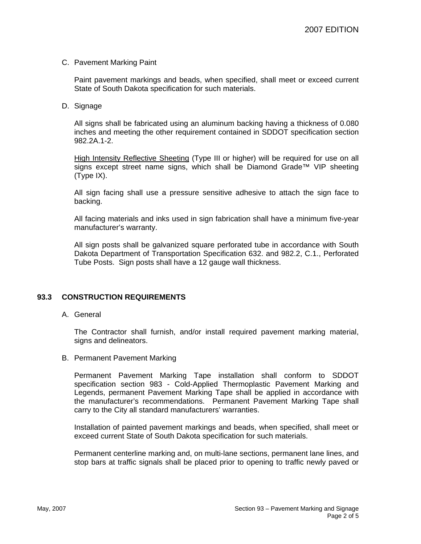#### C. Pavement Marking Paint

Paint pavement markings and beads, when specified, shall meet or exceed current State of South Dakota specification for such materials.

D. Signage

All signs shall be fabricated using an aluminum backing having a thickness of 0.080 inches and meeting the other requirement contained in SDDOT specification section 982.2A.1-2.

High Intensity Reflective Sheeting (Type III or higher) will be required for use on all signs except street name signs, which shall be Diamond Grade™ VIP sheeting (Type IX).

All sign facing shall use a pressure sensitive adhesive to attach the sign face to backing.

All facing materials and inks used in sign fabrication shall have a minimum five-year manufacturer's warranty.

All sign posts shall be galvanized square perforated tube in accordance with South Dakota Department of Transportation Specification 632. and 982.2, C.1., Perforated Tube Posts. Sign posts shall have a 12 gauge wall thickness.

#### **93.3 CONSTRUCTION REQUIREMENTS**

#### A. General

The Contractor shall furnish, and/or install required pavement marking material, signs and delineators.

#### B. Permanent Pavement Marking

Permanent Pavement Marking Tape installation shall conform to SDDOT specification section 983 - Cold-Applied Thermoplastic Pavement Marking and Legends, permanent Pavement Marking Tape shall be applied in accordance with the manufacturer's recommendations. Permanent Pavement Marking Tape shall carry to the City all standard manufacturers' warranties.

Installation of painted pavement markings and beads, when specified, shall meet or exceed current State of South Dakota specification for such materials.

Permanent centerline marking and, on multi-lane sections, permanent lane lines, and stop bars at traffic signals shall be placed prior to opening to traffic newly paved or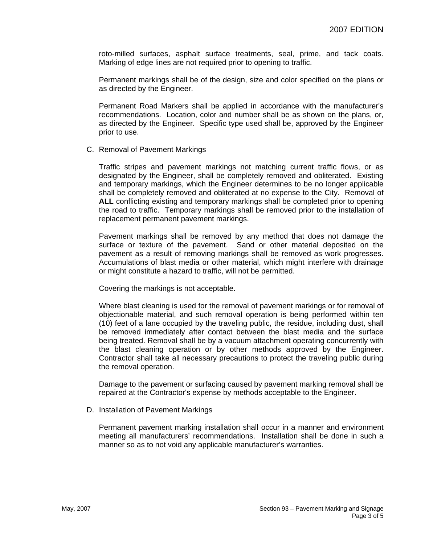roto-milled surfaces, asphalt surface treatments, seal, prime, and tack coats. Marking of edge lines are not required prior to opening to traffic.

Permanent markings shall be of the design, size and color specified on the plans or as directed by the Engineer.

Permanent Road Markers shall be applied in accordance with the manufacturer's recommendations. Location, color and number shall be as shown on the plans, or, as directed by the Engineer. Specific type used shall be, approved by the Engineer prior to use.

C. Removal of Pavement Markings

Traffic stripes and pavement markings not matching current traffic flows, or as designated by the Engineer, shall be completely removed and obliterated. Existing and temporary markings, which the Engineer determines to be no longer applicable shall be completely removed and obliterated at no expense to the City. Removal of **ALL** conflicting existing and temporary markings shall be completed prior to opening the road to traffic. Temporary markings shall be removed prior to the installation of replacement permanent pavement markings.

Pavement markings shall be removed by any method that does not damage the surface or texture of the pavement. Sand or other material deposited on the pavement as a result of removing markings shall be removed as work progresses. Accumulations of blast media or other material, which might interfere with drainage or might constitute a hazard to traffic, will not be permitted.

Covering the markings is not acceptable.

Where blast cleaning is used for the removal of pavement markings or for removal of objectionable material, and such removal operation is being performed within ten (10) feet of a lane occupied by the traveling public, the residue, including dust, shall be removed immediately after contact between the blast media and the surface being treated. Removal shall be by a vacuum attachment operating concurrently with the blast cleaning operation or by other methods approved by the Engineer. Contractor shall take all necessary precautions to protect the traveling public during the removal operation.

Damage to the pavement or surfacing caused by pavement marking removal shall be repaired at the Contractor's expense by methods acceptable to the Engineer.

D. Installation of Pavement Markings

Permanent pavement marking installation shall occur in a manner and environment meeting all manufacturers' recommendations. Installation shall be done in such a manner so as to not void any applicable manufacturer's warranties.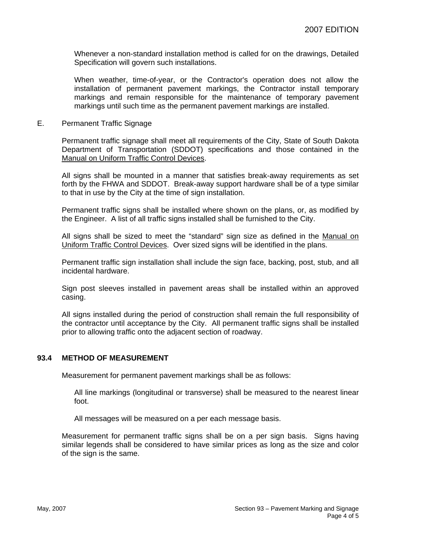Whenever a non-standard installation method is called for on the drawings, Detailed Specification will govern such installations.

When weather, time-of-year, or the Contractor's operation does not allow the installation of permanent pavement markings, the Contractor install temporary markings and remain responsible for the maintenance of temporary pavement markings until such time as the permanent pavement markings are installed.

E. Permanent Traffic Signage

Permanent traffic signage shall meet all requirements of the City, State of South Dakota Department of Transportation (SDDOT) specifications and those contained in the Manual on Uniform Traffic Control Devices.

All signs shall be mounted in a manner that satisfies break-away requirements as set forth by the FHWA and SDDOT. Break-away support hardware shall be of a type similar to that in use by the City at the time of sign installation.

Permanent traffic signs shall be installed where shown on the plans, or, as modified by the Engineer. A list of all traffic signs installed shall be furnished to the City.

All signs shall be sized to meet the "standard" sign size as defined in the Manual on Uniform Traffic Control Devices. Over sized signs will be identified in the plans.

Permanent traffic sign installation shall include the sign face, backing, post, stub, and all incidental hardware.

Sign post sleeves installed in pavement areas shall be installed within an approved casing.

All signs installed during the period of construction shall remain the full responsibility of the contractor until acceptance by the City. All permanent traffic signs shall be installed prior to allowing traffic onto the adjacent section of roadway.

#### **93.4 METHOD OF MEASUREMENT**

Measurement for permanent pavement markings shall be as follows:

All line markings (longitudinal or transverse) shall be measured to the nearest linear foot.

All messages will be measured on a per each message basis.

Measurement for permanent traffic signs shall be on a per sign basis. Signs having similar legends shall be considered to have similar prices as long as the size and color of the sign is the same.